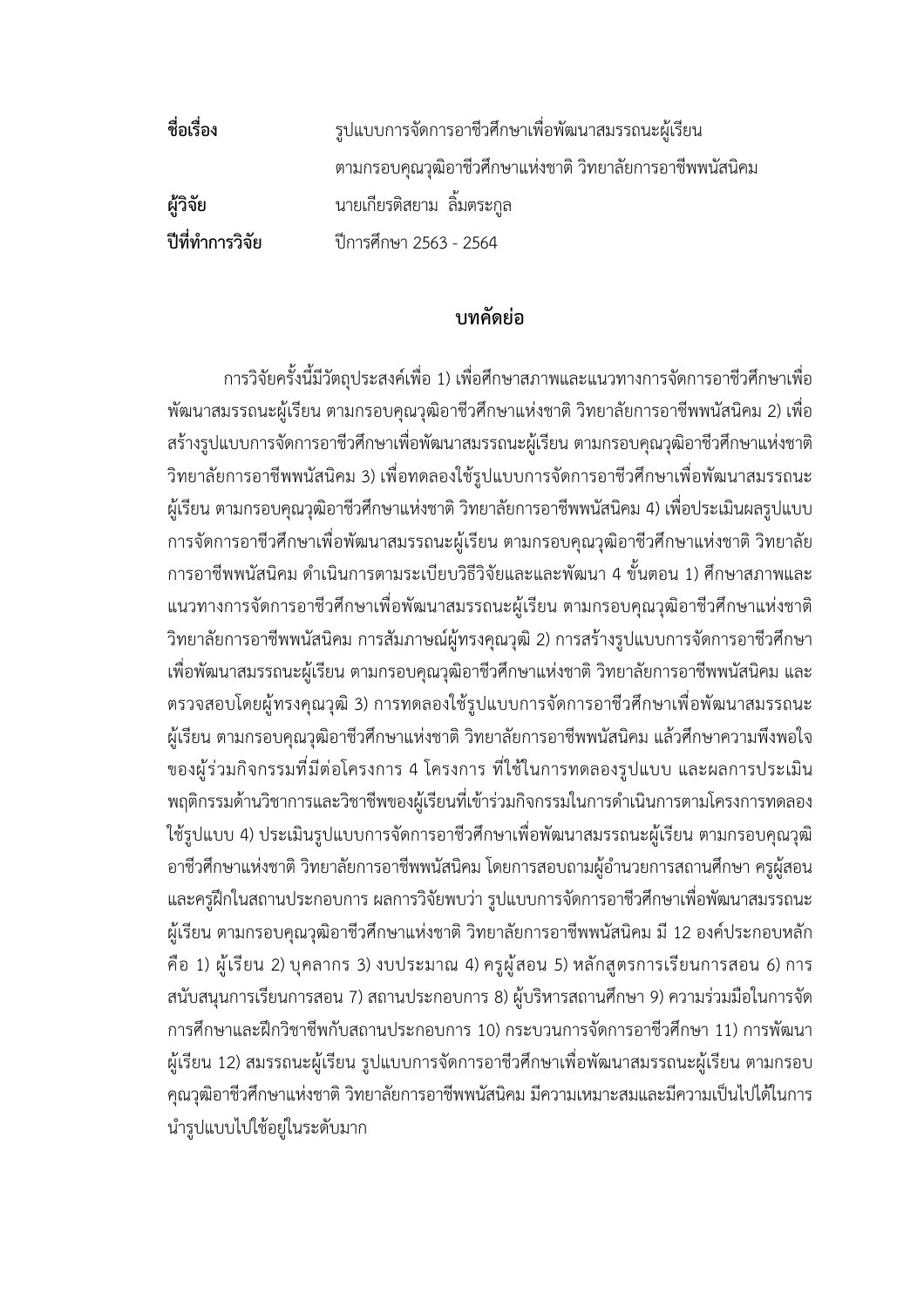**ชื่อเรื่อง** รูปแบบการจัดการอาชีวศึกษาเพื่อพัฒนาสมรรถนะผู>เรียน ตามกรอบคุณวุฒิอาชีวศึกษาแห่งชาติ วิทยาลัยการอาชีพพนัสนิคม **ผู+วิจัย** นายเกียรติสยาม ลิ้มตระกูล **ปีที่ทำการวิจัย ปีการศึกษา 2563 - 2564** 

## **บทคัดย(อ**

การวิจัยครั้งนี้มีวัตถุประสงค์เพื่อ 1) เพื่อศึกษาสภาพและแนวทางการจัดการอาชีวศึกษาเพื่อ พัฒนาสมรรถนะผู้เรียน ตามกรอบคุณวุฒิอาชีวศึกษาแห่งชาติ วิทยาลัยการอาชีพพนัสนิคม 2) เพื่อ ิสร้างรูปแบบการจัดการอาชีวศึกษาเพื่อพัฒนาสมรรถนะผู้เรียน ตามกรอบคุณวุฒิอาชีวศึกษาแห่งชาติ วิทยาลัยการอาชีพพนัสนิคม 3) เพื่อทดลองใช้รูปแบบการจัดการอาชีวศึกษาเพื่อพัฒนาสมรรถนะ ผู้เรียน ตามกรอบคุณวุฒิอาชีวศึกษาแห่งชาติ วิทยาลัยการอาชีพพนัสนิคม 4) เพื่อประเมินผลรูปแบบ การจัดการอาชีวศึกษาเพื่อพัฒนาสมรรถนะผู้เรียน ตามกรอบคุณวุฒิอาชีวศึกษาแห่งชาติ วิทยาลัย การอาชีพพนัสนิคม ดำเนินการตามระเบียบวิธีวิจัยและและพัฒนา 4 ขั้นตอน 1) ศึกษาสภาพและ แนวทางการจัดการอาชีวศึกษาเพื่อพัฒนาสมรรถนะผู้เรียน ตามกรอบคุณวุฒิอาชีวศึกษาแห่งชาติ วิทยาลัยการอาชีพพนัสนิคม การสัมภาษณ์ผู้ทรงคุณวุฒิ 2) การสร้างรูปแบบการจัดการอาชีวศึกษา เพื่อพัฒนาสมรรถนะผู้เรียน ตามกรอบคุณวุฒิอาชีวศึกษาแห่งชาติ วิทยาลัยการอาชีพพนัสนิคม และ ิตรวจสอบโดยผู้ทรงคุณวุฒิ 3) การทดลองใช้รูปแบบการจัดการอาชีวศึกษาเพื่อพัฒนาสมรรถนะ ผู้เรียน ตามกรอบคุณวุฒิอาชีวศึกษาแห่งชาติ วิทยาลัยการอาชีพพนัสนิคม แล้วศึกษาความพึงพอใจ ของผู้ร่วมกิจกรรมที่มีต่อโครงการ 4 โครงการ ที่ใช้ในการทดลองรูปแบบ และผลการประเมิน ่ พฤติกรรมด้านวิชาการและวิชาชีพของผู้เรียนที่เข้าร่วมกิจกรรมในการดำเนินการตามโครงการทดลอง ใช้รูปแบบ 4) ประเมินรูปแบบการจัดการอาชีวศึกษาเพื่อพัฒนาสมรรถนะผู้เรียน ตามกรอบคุณวุฒิ อาชีวศึกษาแห่งชาติ วิทยาลัยการอาชีพพนัสนิคม โดยการสอบถามผู้อำนวยการสถานศึกษา ครูผู้สอน และครูฝึกในสถานประกอบการ ผลการวิจัยพบว่า รูปแบบการจัดการอาชีวศึกษาเพื่อพัฒนาสมรรถนะ ผู้เรียน ตามกรอบคุณวุฒิอาชีวศึกษาแห่งชาติ วิทยาลัยการอาชีพพนัสนิคม มี 12 องค์ประกอบหลัก คือ 1) ผู้เรียน 2) บุคลากร 3) งบประมาณ 4) ครูผู้สอน 5) หลักสูตรการเรียนการสอน 6) การ สนับสนุนการเรียนการสอน 7) สถานประกอบการ 8) ผู้บริหารสถานศึกษา 9) ความร่วมมือในการจัด การศึกษาและฝ]กวิชาชีพกับสถานประกอบการ 10) กระบวนการจัดการอาชีวศึกษา 11) การพัฒนา .ผู้เรียน 12) สมรรถนะผู้เรียน รูปแบบการจัดการอาชีวศึกษาเพื่อพัฒนาสมรรถนะผู้เรียน ตามกรอบ คุณวุฒิอาชีวศึกษาแห่งชาติ วิทยาลัยการอาชีพพนัสนิคม มีความเหมาะสมและมีความเป็นไปได้ในการ นำรูปแบบไปใช้อยู่ในระดับมาก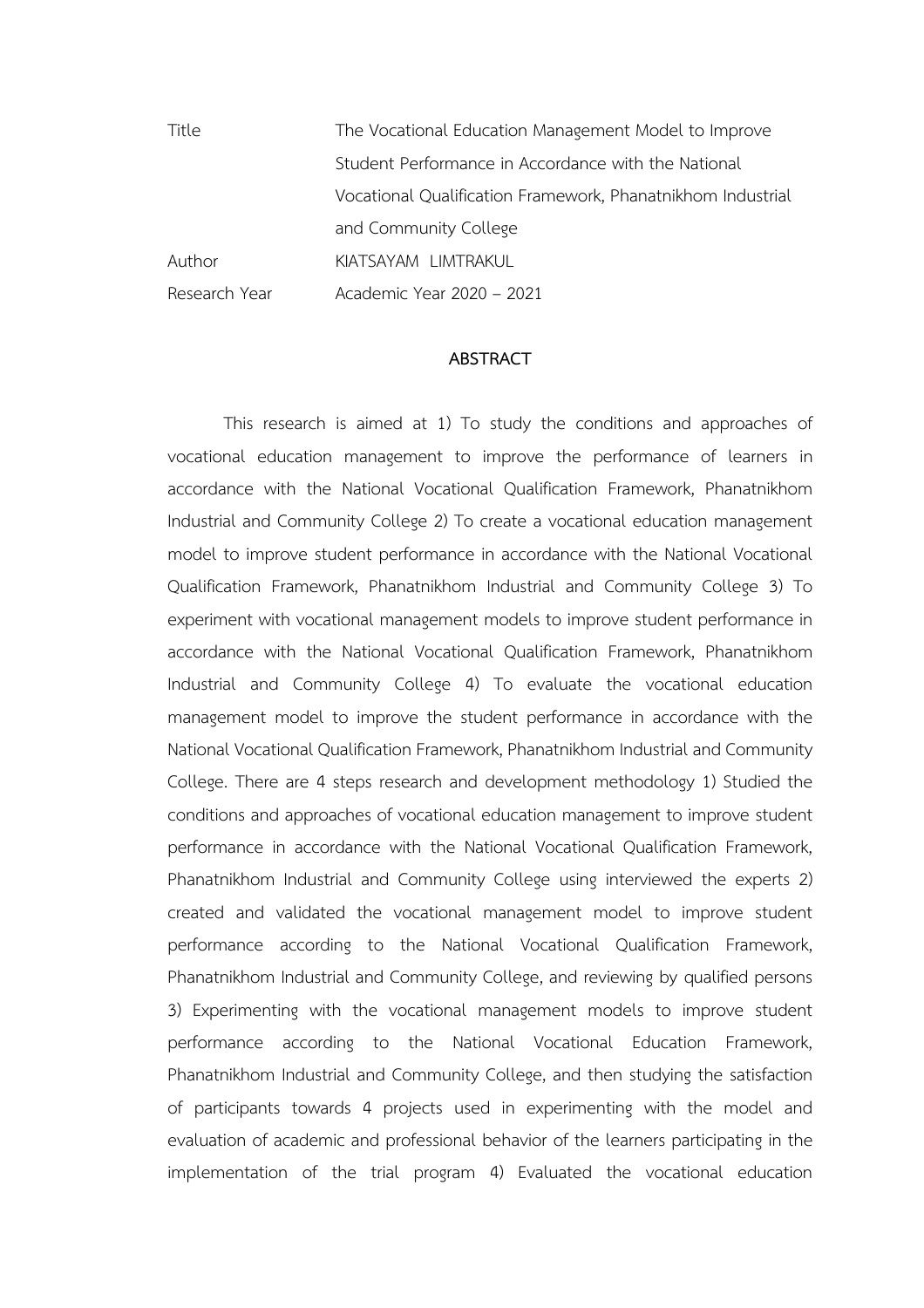Title The Vocational Education Management Model to Improve Student Performance in Accordance with the National Vocational Qualification Framework, Phanatnikhom Industrial and Community College Author KIATSAYAM LIMTRAKUL Research Year Academic Year 2020 – 2021

## **ABSTRACT**

This research is aimed at 1) To study the conditions and approaches of vocational education management to improve the performance of learners in accordance with the National Vocational Qualification Framework, Phanatnikhom Industrial and Community College 2) To create a vocational education management model to improve student performance in accordance with the National Vocational Qualification Framework, Phanatnikhom Industrial and Community College 3) To experiment with vocational management models to improve student performance in accordance with the National Vocational Qualification Framework, Phanatnikhom Industrial and Community College 4) To evaluate the vocational education management model to improve the student performance in accordance with the National Vocational Qualification Framework, Phanatnikhom Industrial and Community College. There are 4 steps research and development methodology 1) Studied the conditions and approaches of vocational education management to improve student performance in accordance with the National Vocational Qualification Framework, Phanatnikhom Industrial and Community College using interviewed the experts 2) created and validated the vocational management model to improve student performance according to the National Vocational Qualification Framework, Phanatnikhom Industrial and Community College, and reviewing by qualified persons 3) Experimenting with the vocational management models to improve student performance according to the National Vocational Education Framework, Phanatnikhom Industrial and Community College, and then studying the satisfaction of participants towards 4 projects used in experimenting with the model and evaluation of academic and professional behavior of the learners participating in the implementation of the trial program 4) Evaluated the vocational education